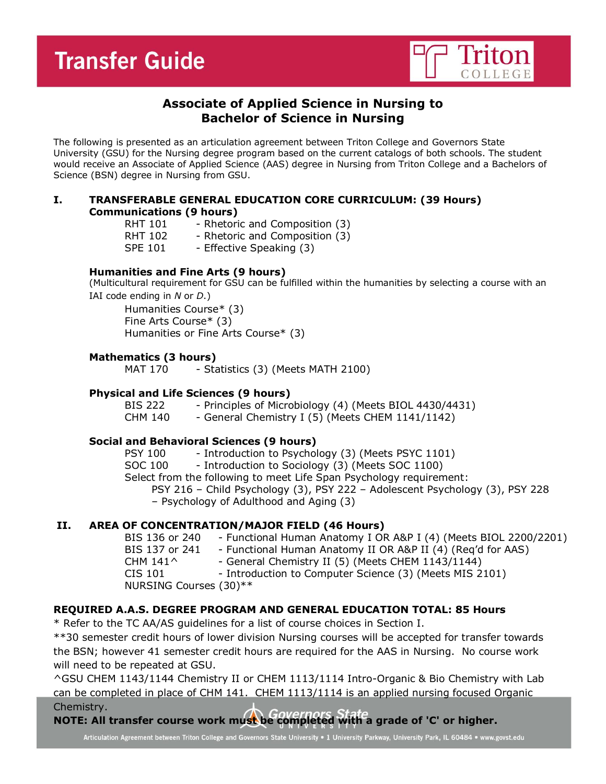

# **Associate of Applied Science in Nursing to Bachelor of Science in Nursing**

The following is presented as an articulation agreement between Triton College and Governors State University (GSU) for the Nursing degree program based on the current catalogs of both schools. The student would receive an Associate of Applied Science (AAS) degree in Nursing from Triton College and a Bachelors of Science (BSN) degree in Nursing from GSU.

## **I. TRANSFERABLE GENERAL EDUCATION CORE CURRICULUM: (39 Hours) Communications (9 hours)**

- RHT 101 Rhetoric and Composition (3)
- RHT 102 Rhetoric and Composition (3)
- SPE 101 Effective Speaking (3)

# **Humanities and Fine Arts (9 hours)**

(Multicultural requirement for GSU can be fulfilled within the humanities by selecting a course with an IAI code ending in *N* or *D*.)

Humanities Course\* (3) Fine Arts Course\* (3) Humanities or Fine Arts Course\* (3)

## **Mathematics (3 hours)**

MAT 170 - Statistics (3) (Meets MATH 2100)

#### **Physical and Life Sciences (9 hours)**

BIS 222 - Principles of Microbiology (4) (Meets BIOL 4430/4431) CHM  $140 - 6$ eneral Chemistry I (5) (Meets CHEM  $1141/1142$ )

#### **Social and Behavioral Sciences (9 hours)**

PSY 100 - Introduction to Psychology (3) (Meets PSYC 1101) SOC 100 - Introduction to Sociology (3) (Meets SOC 1100) Select from the following to meet Life Span Psychology requirement: PSY 216 – Child Psychology (3), PSY 222 – Adolescent Psychology (3), PSY 228 – Psychology of Adulthood and Aging (3)

# **II. AREA OF CONCENTRATION/MAJOR FIELD (46 Hours)**

BIS 136 or 240 - Functional Human Anatomy I OR A&P I (4) (Meets BIOL 2200/2201) BIS 137 or 241 - Functional Human Anatomy II OR A&P II (4) (Req'd for AAS) CHM  $141^{\circ}$  - General Chemistry II (5) (Meets CHEM 1143/1144) CIS 101 - Introduction to Computer Science (3) (Meets MIS 2101) NURSING Courses (30)\*\*

# **REQUIRED A.A.S. DEGREE PROGRAM AND GENERAL EDUCATION TOTAL: 85 Hours**

\* Refer to the TC AA/AS guidelines for a list of course choices in Section I.

\*\*30 semester credit hours of lower division Nursing courses will be accepted for transfer towards the BSN; however 41 semester credit hours are required for the AAS in Nursing. No course work will need to be repeated at GSU.

^GSU CHEM 1143/1144 Chemistry II or CHEM 1113/1114 Intro-Organic & Bio Chemistry with Lab can be completed in place of CHM 141. CHEM 1113/1114 is an applied nursing focused Organic Chemistry.

**NOTE: All transfer course work must be completed with a grade of 'C' or higher.**

Articulation Agreement between Triton College and Governors State University . 1 University Parkway, University Park, IL 60484 . www.govst.edu